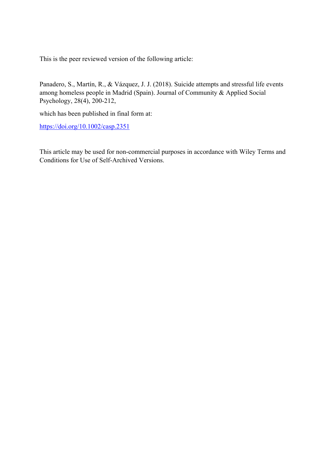This is the peer reviewed version of the following article:

Panadero, S., Martín, R., & Vázquez, J. J. (2018). Suicide attempts and stressful life events among homeless people in Madrid (Spain). Journal of Community & Applied Social Psychology, 28(4), 200-212,

which has been published in final form at:

https://doi.org/10.1002/casp.2351

This article may be used for non-commercial purposes in accordance with Wiley Terms and Conditions for Use of Self-Archived Versions.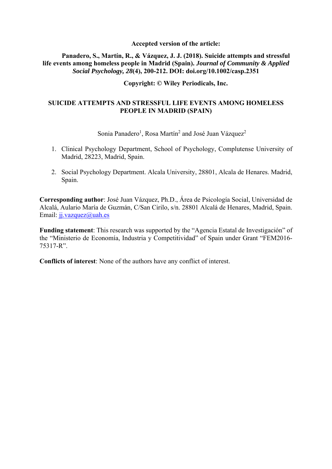### **Accepted version of the article:**

## **Panadero, S., Martín, R., & Vázquez, J. J. (2018). Suicide attempts and stressful life events among homeless people in Madrid (Spain).** *Journal of Community & Applied Social Psychology, 28***(4), 200-212. DOI: doi.org/10.1002/casp.2351**

# **Copyright: © Wiley Periodicals, Inc.**

# **SUICIDE ATTEMPTS AND STRESSFUL LIFE EVENTS AMONG HOMELESS PEOPLE IN MADRID (SPAIN)**

Sonia Panadero<sup>1</sup>, Rosa Martín<sup>2</sup> and José Juan Vázquez<sup>2</sup>

- 1. Clinical Psychology Department, School of Psychology, Complutense University of Madrid, 28223, Madrid, Spain.
- 2. Social Psychology Department. Alcala University, 28801, Alcala de Henares. Madrid, Spain.

**Corresponding author**: José Juan Vázquez, Ph.D., Área de Psicología Social, Universidad de Alcalá, Aulario María de Guzmán, C/San Cirilo, s/n. 28801 Alcalá de Henares, Madrid, Spain. Email: jj.vazquez@uah.es

**Funding statement**: This research was supported by the "Agencia Estatal de Investigación" of the "Ministerio de Economía, Industria y Competitividad" of Spain under Grant "FEM2016- 75317-R".

**Conflicts of interest**: None of the authors have any conflict of interest.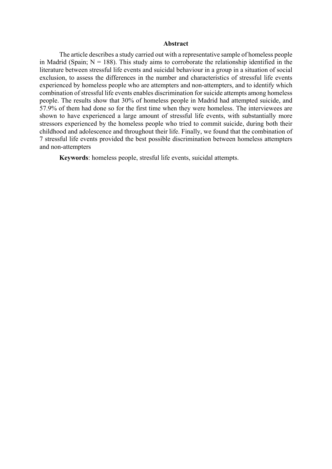#### **Abstract**

The article describes a study carried out with a representative sample of homeless people in Madrid (Spain;  $N = 188$ ). This study aims to corroborate the relationship identified in the literature between stressful life events and suicidal behaviour in a group in a situation of social exclusion, to assess the differences in the number and characteristics of stressful life events experienced by homeless people who are attempters and non-attempters, and to identify which combination of stressful life events enables discrimination for suicide attempts among homeless people. The results show that 30% of homeless people in Madrid had attempted suicide, and 57.9% of them had done so for the first time when they were homeless. The interviewees are shown to have experienced a large amount of stressful life events, with substantially more stressors experienced by the homeless people who tried to commit suicide, during both their childhood and adolescence and throughout their life. Finally, we found that the combination of 7 stressful life events provided the best possible discrimination between homeless attempters and non‐attempters

**Keywords**: homeless people, stresful life events, suicidal attempts.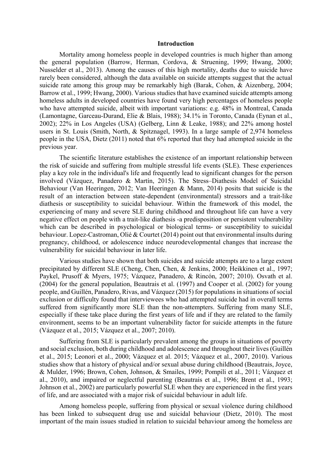#### **Introduction**

Mortality among homeless people in developed countries is much higher than among the general population (Barrow, Herman, Cordova, & Struening, 1999; Hwang, 2000; Nusselder et al., 2013). Among the causes of this high mortality, deaths due to suicide have rarely been considered, although the data available on suicide attempts suggest that the actual suicide rate among this group may be remarkably high (Barak, Cohen, & Aizenberg, 2004; Barrow et al., 1999; Hwang, 2000). Various studies that have examined suicide attempts among homeless adults in developed countries have found very high percentages of homeless people who have attempted suicide, albeit with important variations: e.g. 48% in Montreal, Canada (Lamontagne, Garceau-Durand, Elie & Blais, 1988); 34.1% in Toronto, Canada (Eynan et al., 2002); 22% in Los Angeles (USA) (Gelberg, Linn & Leake, 1988); and 22% among hostel users in St. Louis (Smith, North, & Spitznagel, 1993). In a large sample of 2,974 homeless people in the USA, Dietz (2011) noted that 6% reported that they had attempted suicide in the previous year.

The scientific literature establishes the existence of an important relationship between the risk of suicide and suffering from multiple stressful life events (SLE). These experiences play a key role in the individual's life and frequently lead to significant changes for the person involved (Vázquez, Panadero & Martín, 2015). The Stress–Diathesis Model of Suicidal Behaviour (Van Heeringen, 2012; Van Heeringen & Mann, 2014) posits that suicide is the result of an interaction between state-dependent (environmental) stressors and a trait-like diathesis or susceptibility to suicidal behaviour. Within the framework of this model, the experiencing of many and severe SLE during childhood and throughout life can have a very negative effect on people with a trait-like diathesis -a predisposition or persistent vulnerability which can be described in psychological or biological terms- or susceptibility to suicidal behaviour. Lopez-Castroman, Olié & Courtet (2014) point out that environmental insults during pregnancy, childhood, or adolescence induce neurodevelopmental changes that increase the vulnerability for suicidal behaviour in later life.

Various studies have shown that both suicides and suicide attempts are to a large extent precipitated by different SLE (Cheng, Chen, Chen, & Jenkins, 2000; Heikkinen et al., 1997; Paykel, Prusoff & Myers, 1975; Vázquez, Panadero, & Rincón, 2007; 2010). Osvath et al. (2004) for the general population, Beautrais et al. (1997) and Cooper et al. (2002) for young people, and Guillén, Panadero, Rivas, and Vázquez (2015) for populations in situations of social exclusion or difficulty found that interviewees who had attempted suicide had in overall terms suffered from significantly more SLE than the non-attempters. Suffering from many SLE, especially if these take place during the first years of life and if they are related to the family environment, seems to be an important vulnerability factor for suicide attempts in the future (Vázquez et al., 2015; Vázquez et al., 2007; 2010).

Suffering from SLE is particularly prevalent among the groups in situations of poverty and social exclusion, both during childhood and adolescence and throughout their lives (Guillén et al., 2015; Leonori et al., 2000; Vázquez et al. 2015; Vázquez et al., 2007, 2010). Various studies show that a history of physical and/or sexual abuse during childhood (Beautrais, Joyce, & Mulder, 1996; Brown, Cohen, Johnson, & Smailes, 1999; Pompili et al., 2011; Vázquez et al., 2010), and impaired or neglectful parenting (Beautrais et al., 1996; Brent et al., 1993; Johnson et al., 2002) are particularly powerful SLE when they are experienced in the first years of life, and are associated with a major risk of suicidal behaviour in adult life.

Among homeless people, suffering from physical or sexual violence during childhood has been linked to subsequent drug use and suicidal behaviour (Dietz, 2010). The most important of the main issues studied in relation to suicidal behaviour among the homeless are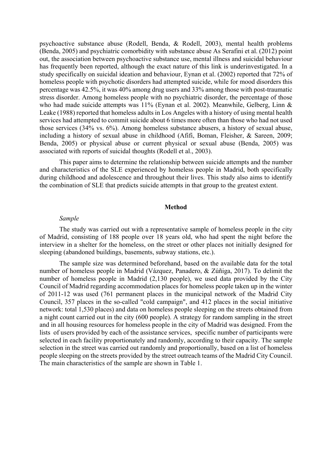psychoactive substance abuse (Rodell, Benda, & Rodell, 2003), mental health problems (Benda, 2005) and psychiatric comorbidity with substance abuse As Serafini et al. (2012) point out, the association between psychoactive substance use, mental illness and suicidal behaviour has frequently been reported, although the exact nature of this link is underinvestigated. In a study specifically on suicidal ideation and behaviour, Eynan et al. (2002) reported that 72% of homeless people with psychotic disorders had attempted suicide, while for mood disorders this percentage was 42.5%, it was 40% among drug users and 33% among those with post-traumatic stress disorder. Among homeless people with no psychiatric disorder, the percentage of those who had made suicide attempts was 11% (Eynan et al. 2002). Meanwhile, Gelberg, Linn & Leake (1988) reported that homeless adults in Los Angeles with a history of using mental health services had attempted to commit suicide about 6 times more often than those who had not used those services (34% vs. 6%). Among homeless substance abusers, a history of sexual abuse, including a history of sexual abuse in childhood (Afifi, Boman, Fleisher, & Sareen, 2009; Benda, 2005) or physical abuse or current physical or sexual abuse (Benda, 2005) was associated with reports of suicidal thoughts (Rodell et al., 2003).

This paper aims to determine the relationship between suicide attempts and the number and characteristics of the SLE experienced by homeless people in Madrid, both specifically during childhood and adolescence and throughout their lives. This study also aims to identify the combination of SLE that predicts suicide attempts in that group to the greatest extent.

#### **Method**

#### *Sample*

The study was carried out with a representative sample of homeless people in the city of Madrid, consisting of 188 people over 18 years old, who had spent the night before the interview in a shelter for the homeless, on the street or other places not initially designed for sleeping (abandoned buildings, basements, subway stations, etc.).

The sample size was determined beforehand, based on the available data for the total number of homeless people in Madrid (Vázquez, Panadero, & Zúñiga, 2017). To delimit the number of homeless people in Madrid (2,130 people), we used data provided by the City Council of Madrid regarding accommodation places for homeless people taken up in the winter of 2011-12 was used (761 permanent places in the municipal network of the Madrid City Council, 357 places in the so-called "cold campaign", and 412 places in the social initiative network: total 1,530 places) and data on homeless people sleeping on the streets obtained from a night count carried out in the city (600 people). A strategy for random sampling in the street and in all housing resources for homeless people in the city of Madrid was designed. From the lists of users provided by each of the assistance services, specific number of participants were selected in each facility proportionately and randomly, according to their capacity. The sample selection in the street was carried out randomly and proportionally, based on a list of homeless people sleeping on the streets provided by the street outreach teams of the Madrid City Council. The main characteristics of the sample are shown in Table 1.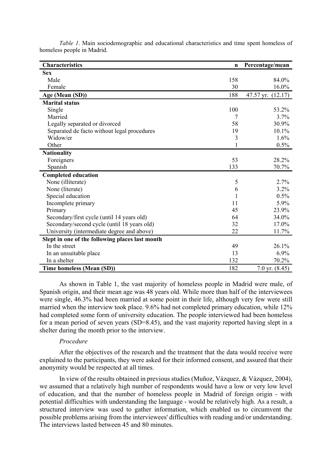| <b>Characteristics</b>                          | $\mathbf n$ | Percentage/mean      |
|-------------------------------------------------|-------------|----------------------|
| <b>Sex</b>                                      |             |                      |
| Male                                            | 158         | 84.0%                |
| Female                                          | 30          | 16.0%                |
| Age (Mean (SD))                                 | 188         | 47.57 yr.<br>(12.17) |
| <b>Marital status</b>                           |             |                      |
| Single                                          | 100         | 53.2%                |
| Married                                         | 7           | 3.7%                 |
| Legally separated or divorced                   | 58          | 30.9%                |
| Separated de facto without legal procedures     | 19          | 10.1%                |
| Widow/er                                        | 3           | 1.6%                 |
| Other                                           | 1           | 0.5%                 |
| <b>Nationality</b>                              |             |                      |
| Foreigners                                      | 53          | 28.2%                |
| Spanish                                         | 133         | 70.7%                |
| <b>Completed education</b>                      |             |                      |
| None (illiterate)                               | 5           | 2.7%                 |
| None (literate)                                 | 6           | 3.2%                 |
| Special education                               | 1           | 0.5%                 |
| Incomplete primary                              | 11          | 5.9%                 |
| Primary                                         | 45          | 23.9%                |
| Secondary/first cycle (until 14 years old)      | 64          | 34.0%                |
| Secondary/second cycle (until 18 years old)     | 32          | 17.0%                |
| University (intermediate degree and above)      | 22          | 11.7%                |
| Slept in one of the following places last month |             |                      |
| In the street                                   | 49          | 26.1%                |
| In an unsuitable place                          | 13          | 6.9%                 |
| In a shelter                                    | 132         | 70.2%                |
| Time homeless (Mean (SD))                       | 182         | 7.0 yr. $(8.45)$     |

*Table 1*. Main sociodemographic and educational characteristics and time spent homeless of homeless people in Madrid.

As shown in Table 1, the vast majority of homeless people in Madrid were male, of Spanish origin, and their mean age was 48 years old. While more than half of the interviewees were single, 46.3% had been married at some point in their life, although very few were still married when the interview took place. 9.6% had not completed primary education, while 12% had completed some form of university education. The people interviewed had been homeless for a mean period of seven years (SD=8.45), and the vast majority reported having slept in a shelter during the month prior to the interview.

#### *Procedure*

After the objectives of the research and the treatment that the data would receive were explained to the participants, they were asked for their informed consent, and assured that their anonymity would be respected at all times.

In view of the results obtained in previous studies (Muñoz, Vázquez, & Vázquez, 2004), we assumed that a relatively high number of respondents would have a low or very low level of education, and that the number of homeless people in Madrid of foreign origin - with potential difficulties with understanding the language - would be relatively high. As a result, a structured interview was used to gather information, which enabled us to circumvent the possible problems arising from the interviewees' difficulties with reading and/or understanding. The interviews lasted between 45 and 80 minutes.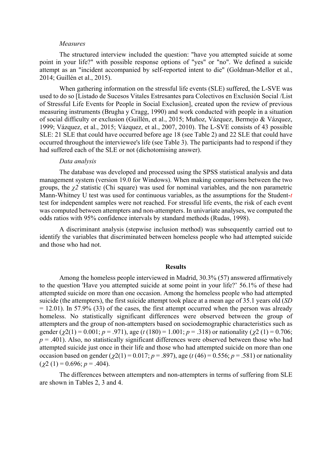#### *Measures*

The structured interview included the question: "have you attempted suicide at some point in your life?" with possible response options of "yes" or "no". We defined a suicide attempt as an "incident accompanied by self-reported intent to die" (Goldman-Mellor et al., 2014; Guillén et al., 2015).

When gathering information on the stressful life events (SLE) suffered, the L-SVE was used to do so [Listado de Sucesos Vitales Estresantes para Colectivos en Exclusión Social /List of Stressful Life Events for People in Social Exclusion], created upon the review of previous measuring instruments (Brugha y Cragg, 1990) and work conducted with people in a situation of social difficulty or exclusion (Guillén, et al., 2015; Muñoz, Vázquez, Bermejo & Vázquez, 1999; Vázquez, et al., 2015; Vázquez, et al., 2007, 2010). The L-SVE consists of 43 possible SLE: 21 SLE that could have occurred before age 18 (see Table 2) and 22 SLE that could have occurred throughout the interviewee's life (see Table 3). The participants had to respond if they had suffered each of the SLE or not (dichotomising answer).

#### *Data analysis*

The database was developed and processed using the SPSS statistical analysis and data management system (version 19.0 for Windows). When making comparisons between the two groups, the *χ2* statistic (Chi square) was used for nominal variables, and the non parametric Mann-Whitney U test was used for continuous variables, as the assumptions for the Student-*t* test for independent samples were not reached. For stressful life events, the risk of each event was computed between attempters and non-attempters. In univariate analyses, we computed the odds ratios with 95% confidence intervals by standard methods (Rudas, 1998).

A discriminant analysis (stepwise inclusion method) was subsequently carried out to identify the variables that discriminated between homeless people who had attempted suicide and those who had not.

#### **Results**

Among the homeless people interviewed in Madrid, 30.3% (57) answered affirmatively to the question 'Have you attempted suicide at some point in your life?' 56.1% of these had attempted suicide on more than one occasion. Among the homeless people who had attempted suicide (the attempters), the first suicide attempt took place at a mean age of 35.1 years old (*SD*  $= 12.01$ ). In 57.9% (33) of the cases, the first attempt occurred when the person was already homeless. No statistically significant differences were observed between the group of attempters and the group of non-attempters based on sociodemographic characteristics such as gender ( $\chi$ 2(1) = 0.001; *p* = .971), age (*t* (180) = 1.001; *p* = .318) or nationality ( $\chi$ 2(1) = 0.706;  $p = .401$ ). Also, no statistically significant differences were observed between those who had attempted suicide just once in their life and those who had attempted suicide on more than one occasion based on gender ( $\chi$ 2(1) = 0.017; *p* = .897), age (*t* (46) = 0.556; *p* = .581) or nationality  $(\gamma 2 (1) = 0.696; p = .404).$ 

The differences between attempters and non-attempters in terms of suffering from SLE are shown in Tables 2, 3 and 4.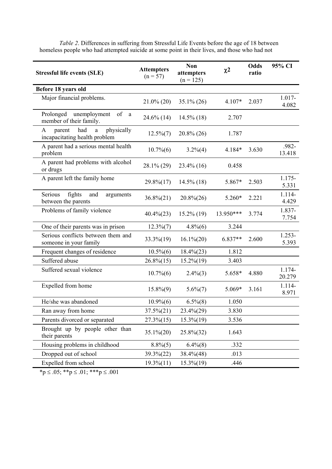| <b>Stressful life events (SLE)</b>                                     | <b>Attempters</b><br>$(n = 57)$ | <b>Non</b><br>attempters<br>$(n = 125)$ | $\chi^2$  | Odds<br>ratio | 95% CI             |
|------------------------------------------------------------------------|---------------------------------|-----------------------------------------|-----------|---------------|--------------------|
| Before 18 years old                                                    |                                 |                                         |           |               |                    |
| Major financial problems.                                              | $21.0\%$ (20)                   | $35.1\% (26)$                           | 4.107*    | 2.037         | 1.017-<br>4.082    |
| Prolonged unemployment<br>of a<br>member of their family.              | $24.6\%$ (14)                   | $14.5\%$ (18)                           | 2.707     |               |                    |
| physically<br>had<br>A<br>parent<br>a<br>incapacitating health problem | $12.5\%(7)$                     | $20.8\%$ (26)                           | 1.787     |               |                    |
| A parent had a serious mental health<br>problem                        | $10.7\%$ (6)                    | $3.2\%(4)$                              | 4.184*    | 3.630         | .982-<br>13.418    |
| A parent had problems with alcohol<br>or drugs                         | 28.1% (29)                      | $23.4\%$ (16)                           | 0.458     |               |                    |
| A parent left the family home                                          | 29.8%(17)                       | $14.5\%$ (18)                           | 5.867*    | 2.503         | $1.175-$<br>5.331  |
| Serious<br>fights<br>and<br>arguments<br>between the parents           | $36.8\%(21)$                    | $20.8\%(26)$                            | 5.260*    | 2.221         | $1.114-$<br>4.429  |
| Problems of family violence                                            | $40.4\%(23)$                    | $15.2\%$ (19)                           | 13.950*** | 3.774         | 1.837-<br>7.754    |
| One of their parents was in prison                                     | $12.3\%(7)$                     | $4.8\%$ (6)                             | 3.244     |               |                    |
| Serious conflicts between them and<br>someone in your family           | 33.3%(19)                       | $16.1\% (20)$                           | 6.837**   | 2.600         | $1.253 -$<br>5.393 |
| Frequent changes of residence                                          | $10.5\%$ $(6)$                  | $18.4\%(23)$                            | 1.812     |               |                    |
| Suffered abuse                                                         | $26.8\%(15)$                    | $15.2\%(19)$                            | 3.403     |               |                    |
| Suffered sexual violence                                               | $10.7\%$ $(6)$                  | $2.4\%(3)$                              | 5.658*    | 4.880         | 1.174-<br>20.279   |
| Expelled from home                                                     | $15.8\%(9)$                     | $5.6\%(7)$                              | 5.069*    | 3.161         | 1.114-<br>8.971    |
| He/she was abandoned                                                   | $10.9\% (6)$                    | $6.5\%(8)$                              | 1.050     |               |                    |
| Ran away from home                                                     | $37.5\%(21)$                    | 23.4%(29)                               | 3.830     |               |                    |
| Parents divorced or separated                                          | $27.3\%(15)$                    | $15.3\%(19)$                            | 3.536     |               |                    |
| Brought up by people other than<br>their parents                       | $35.1\%(20)$                    | 25.8%(32)                               | 1.643     |               |                    |
| Housing problems in childhood                                          | $8.8\%(5)$                      | $6.4\%(8)$                              | .332      |               |                    |
| Dropped out of school                                                  | 39.3%(22)                       | $38.4\%(48)$                            | .013      |               |                    |
| Expelled from school                                                   | $19.3\%(11)$                    | $15.3\%(19)$                            | .446      |               |                    |

*Table 2*. Differences in suffering from Stressful Life Events before the age of 18 between homeless people who had attempted suicide at some point in their lives, and those who had not

 $*p \le .05; **p \le .01; **p \le .001$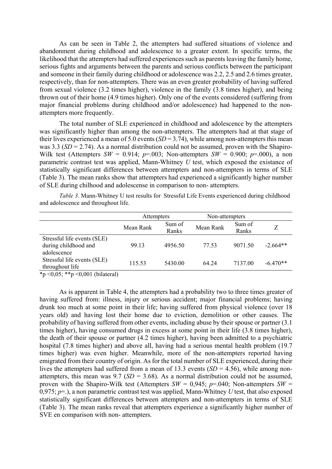As can be seen in Table 2, the attempters had suffered situations of violence and abandonment during childhood and adolescence to a greater extent. In specific terms, the likelihood that the attempters had suffered experiences such as parents leaving the family home, serious fights and arguments between the parents and serious conflicts between the participant and someone in their family during childhood or adolescence was 2.2, 2.5 and 2.6 times greater, respectively, than for non-attempters. There was an even greater probability of having suffered from sexual violence (3.2 times higher), violence in the family (3.8 times higher), and being thrown out of their home (4.9 times higher). Only one of the events considered (suffering from major financial problems during childhood and/or adolescence) had happened to the nonattempters more frequently.

The total number of SLE experienced in childhood and adolescence by the attempters was significantly higher than among the non-attempters. The attempters had at that stage of their lives experienced a mean of 5.0 events  $(SD = 3.74)$ , while among non-attempters this mean was 3.3 (*SD* = 2.74). As a normal distribution could not be assumed, proven with the Shapiro-Wilk test (Attempters  $SW = 0.914$ ;  $p=0.03$ ; Non-attempters  $SW = 0.900$ ;  $p=0.00$ ), a non parametric contrast test was applied, Mann-Whitney *U* test, which exposed the existance of statistically significant differences between attempters and non-attempters in terms of SLE (Table 3). The mean ranks show that attempters had experienced a significantly higher number of SLE during chilhood and adolescense in comparison to non- attempters.

*Table 3*. Mann-Whitney U test results for Stressful Life Events experienced during childhood and adolescence and throughout life.

|                                                                    | Attempters |                 | Non-attempters |                 |            |
|--------------------------------------------------------------------|------------|-----------------|----------------|-----------------|------------|
|                                                                    | Mean Rank  | Sum of<br>Ranks | Mean Rank      | Sum of<br>Ranks |            |
| Stressful life events (SLE)<br>during childhood and<br>adolescence | 99.13      | 4956.50         | 77.53          | 9071.50         | $-2.664**$ |
| Stressful life events (SLE)<br>throughout life                     | 115.53     | 5430.00         | 64.24          | 7137.00         | $-6.470**$ |

\*p < 0,05; \*\*p < 0,001 (bilateral)

As is apparent in Table 4, the attempters had a probability two to three times greater of having suffered from: illness, injury or serious accident; major financial problems; having drunk too much at some point in their life; having suffered from physical violence (over 18 years old) and having lost their home due to eviction, demolition or other causes. The probability of having suffered from other events, including abuse by their spouse or partner (3.1 times higher), having consumed drugs in excess at some point in their life (3.8 times higher), the death of their spouse or partner (4.2 times higher), having been admitted to a psychiatric hospital (7.8 times higher) and above all, having had a serious mental health problem (19.7 times higher) was even higher. Meanwhile, more of the non-attempters reported having emigrated from their country of origin. As for the total number of SLE experienced, during their lives the attempters had suffered from a mean of 13.3 events (*SD* = 4.56), while among nonattempters, this mean was 9.7 ( $SD = 3.68$ ). As a normal distribution could not be assumed, proven with the Shapiro-Wilk test (Attempters  $SW = 0.945$ ;  $p=0.040$ ; Non-attempters  $SW =$ 0,975; *p*=.), a non parametric contrast test was applied, Mann-Whitney *U* test, that also exposed statistically significant differences between attempters and non-attempters in terms of SLE (Table 3). The mean ranks reveal that attempters experience a significantly higher number of SVE en comparison with non- attempters.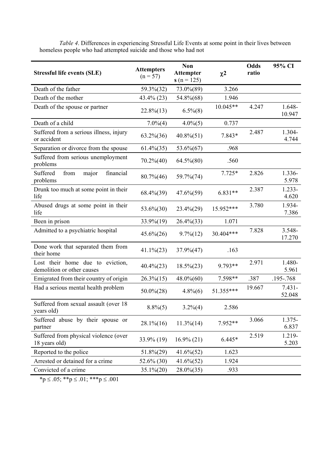| <b>Stressful life events (SLE)</b>                             | <b>Attempters</b><br>$(n = 57)$ | <b>Non</b><br><b>Attempter</b><br>$s(n = 125)$ | $\chi^2$   | <b>Odds</b><br>ratio | 95% CI              |
|----------------------------------------------------------------|---------------------------------|------------------------------------------------|------------|----------------------|---------------------|
| Death of the father                                            | 59.3%(32)                       | 73.0%(89)                                      | 3.266      |                      |                     |
| Death of the mother                                            | 43.4% (23)                      | 54.8%(68)                                      | 1.946      |                      |                     |
| Death of the spouse or partner                                 | $22.8\%(13)$                    | $6.5\%(8)$                                     | $10.045**$ | 4.247                | 1.648-<br>10.947    |
| Death of a child                                               | $7.0\%(4)$                      | $4.0\%$ (5)                                    | 0.737      |                      |                     |
| Suffered from a serious illness, injury<br>or accident         | $63.2\% (36)$                   | $40.8\%(51)$                                   | 7.843*     | 2.487                | 1.304-<br>4.744     |
| Separation or divorce from the spouse                          | $61.4\%(35)$                    | 53.6%(67)                                      | .968       |                      |                     |
| Suffered from serious unemployment<br>problems                 | $70.2\%(40)$                    | $64.5\%(80)$                                   | .560       |                      |                     |
| Suffered<br>financial<br>from<br>major<br>problems             | $80.7\%$ (46)                   | 59.7%(74)                                      | $7.725*$   | 2.826                | 1.336-<br>5.978     |
| Drunk too much at some point in their<br>life                  | $68.4\%$ $(39)$                 | $47.6\%(59)$                                   | $6.831**$  | 2.387                | $1.233 -$<br>4.620  |
| Abused drugs at some point in their<br>life                    | $53.6\%(30)$                    | $23.4\%(29)$                                   | 15.952***  | 3.780                | 1.934-<br>7.386     |
| Been in prison                                                 | 33.9%(19)                       | $26.4\%(33)$                                   | 1.071      |                      |                     |
| Admitted to a psychiatric hospital                             | $45.6\%(26)$                    | $9.7\% (12)$                                   | 30.404***  | 7.828                | $3.548 -$<br>17.270 |
| Done work that separated them from<br>their home               | $41.1\%(23)$                    | 37.9%(47)                                      | .163       |                      |                     |
| Lost their home due to eviction,<br>demolition or other causes | $40.4\%(23)$                    | $18.5\%(23)$                                   | 9.793**    | 2.971                | 1.480-<br>5.961     |
| Emigrated from their country of origin                         | $26.3\%(15)$                    | 48.0%(60)                                      | 7.598**    | .387                 | .195-.768           |
| Had a serious mental health problem                            | $50.0\%(28)$                    | $4.8\%(6)$                                     | 51.355***  | 19.667               | $7.431 -$<br>52.048 |
| Suffered from sexual assault (over 18<br>years old)            | $8.8\%(5)$                      | $3.2\%(4)$                                     | 2.586      |                      |                     |
| Suffered abuse by their spouse or<br>partner                   | $28.1\% (16)$                   | $11.3\%$ $(14)$                                | 7.952**    | 3.066                | 1.375-<br>6.837     |
| Suffered from physical violence (over<br>18 years old)         | 33.9% (19)                      | $16.9\% (21)$                                  | $6.445*$   | 2.519                | 1.219-<br>5.203     |
| Reported to the police                                         | $51.8\%(29)$                    | $41.6\% (52)$                                  | 1.623      |                      |                     |
| Arrested or detained for a crime                               | 52.6% (30)                      | $41.6\%(52)$                                   | 1.924      |                      |                     |
| Convicted of a crime                                           | $35.1\% (20)$                   | $28.0\%(35)$                                   | .933       |                      |                     |

*Table 4*. Differences in experiencing Stressful Life Events at some point in their lives between homeless people who had attempted suicide and those who had not

 ${}^*p \leq .05;$   ${}^*p \leq .01;$   ${}^*{}^*p \leq .001$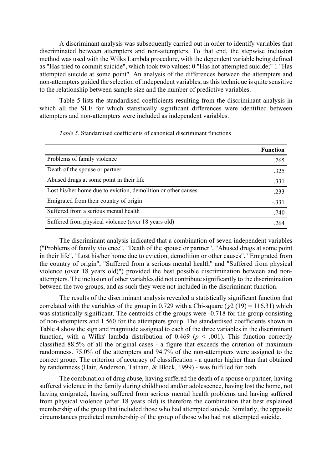A discriminant analysis was subsequently carried out in order to identify variables that discriminated between attempters and non-attempters. To that end, the stepwise inclusion method was used with the Wilks Lambda procedure, with the dependent variable being defined as "Has tried to commit suicide", which took two values: 0 "Has not attempted suicide;" 1 "Has attempted suicide at some point". An analysis of the differences between the attempters and non-attempters guided the selection of independent variables, as this technique is quite sensitive to the relationship between sample size and the number of predictive variables.

Table 5 lists the standardised coefficients resulting from the discriminant analysis in which all the SLE for which statistically significant differences were identified between attempters and non-attempters were included as independent variables.

|                                                               | <b>Function</b> |
|---------------------------------------------------------------|-----------------|
| Problems of family violence                                   | .265            |
| Death of the spouse or partner                                | .325            |
| Abused drugs at some point in their life                      | .331            |
| Lost his/her home due to eviction, demolition or other causes | .233            |
| Emigrated from their country of origin                        | $-.331$         |
| Suffered from a serious mental health                         | .740            |
| Suffered from physical violence (over 18 years old)           | 264             |

*Table 5.* Standardised coefficients of canonical discriminant functions

The discriminant analysis indicated that a combination of seven independent variables ("Problems of family violence", "Death of the spouse or partner", "Abused drugs at some point in their life", "Lost his/her home due to eviction, demolition or other causes", "Emigrated from the country of origin", "Suffered from a serious mental health" and "Suffered from physical violence (over 18 years old)") provided the best possible discrimination between and nonattempters. The inclusion of other variables did not contribute significantly to the discrimination between the two groups, and as such they were not included in the discriminant function.

The results of the discriminant analysis revealed a statistically significant function that correlated with the variables of the group in 0.729 with a Chi-square ( $\chi$ 2 (19) = 116.31) which was statistically significant. The centroids of the groups were -0.718 for the group consisting of non-attempters and 1.560 for the attempters group. The standardised coefficients shown in Table 4 show the sign and magnitude assigned to each of the three variables in the discriminant function, with a Wilks' lambda distribution of  $0.469$  ( $p < .001$ ). This function correctly classified 88.5% of all the original cases - a figure that exceeds the criterion of maximum randomness. 75.0% of the attempters and 94.7% of the non-attempters were assigned to the correct group. The criterion of accuracy of classification - a quarter higher than that obtained by randomness (Hair, Anderson, Tatham, & Block, 1999) - was fulfilled for both.

The combination of drug abuse, having suffered the death of a spouse or partner, having suffered violence in the family during childhood and/or adolescence, having lost the home, not having emigrated, having suffered from serious mental health problems and having suffered from physical violence (after 18 years old) is therefore the combination that best explained membership of the group that included those who had attempted suicide. Similarly, the opposite circumstances predicted membership of the group of those who had not attempted suicide.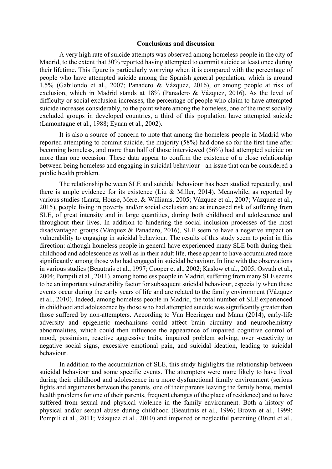### **Conclusions and discussion**

A very high rate of suicide attempts was observed among homeless people in the city of Madrid, to the extent that 30% reported having attempted to commit suicide at least once during their lifetime. This figure is particularly worrying when it is compared with the percentage of people who have attempted suicide among the Spanish general population, which is around 1.5% (Gabilondo et al., 2007; Panadero & Vázquez, 2016), or among people at risk of exclusion, which in Madrid stands at 18% (Panadero & Vázquez, 2016). As the level of difficulty or social exclusion increases, the percentage of people who claim to have attempted suicide increases considerably, to the point where among the homeless, one of the most socially excluded groups in developed countries, a third of this population have attempted suicide (Lamontagne et al., 1988; Eynan et al., 2002).

It is also a source of concern to note that among the homeless people in Madrid who reported attempting to commit suicide, the majority (58%) had done so for the first time after becoming homeless, and more than half of those interviewed (56%) had attempted suicide on more than one occasion. These data appear to confirm the existence of a close relationship between being homeless and engaging in suicidal behaviour - an issue that can be considered a public health problem.

The relationship between SLE and suicidal behaviour has been studied repeatedly, and there is ample evidence for its existence (Liu & Miller, 2014). Meanwhile, as reported by various studies (Lantz, House, Mere, & Williams, 2005; Vázquez et al., 2007; Vázquez et al., 2015), people living in poverty and/or social exclusion are at increased risk of suffering from SLE, of great intensity and in large quantities, during both childhood and adolescence and throughout their lives. In addition to hindering the social inclusion processes of the most disadvantaged groups (Vázquez & Panadero, 2016), SLE seem to have a negative impact on vulnerability to engaging in suicidal behaviour. The results of this study seem to point in this direction: although homeless people in general have experienced many SLE both during their childhood and adolescence as well as in their adult life, these appear to have accumulated more significantly among those who had engaged in suicidal behaviour. In line with the observations in various studies (Beautrais et al., 1997; Cooper et al., 2002; Kaslow et al., 2005; Osvath et al., 2004; Pompili et al., 2011), among homeless people in Madrid, suffering from many SLE seems to be an important vulnerability factor for subsequent suicidal behaviour, especially when these events occur during the early years of life and are related to the family environment (Vázquez et al., 2010). Indeed, among homeless people in Madrid, the total number of SLE experienced in childhood and adolescence by those who had attempted suicide was significantly greater than those suffered by non-attempters. According to Van Heeringen and Mann (2014), early-life adversity and epigenetic mechanisms could affect brain circuitry and neurochemistry abnormalities, which could then influence the appearance of impaired cognitive control of mood, pessimism, reactive aggressive traits, impaired problem solving, over -reactivity to negative social signs, excessive emotional pain, and suicidal ideation, leading to suicidal behaviour.

In addition to the accumulation of SLE, this study highlights the relationship between suicidal behaviour and some specific events. The attempters were more likely to have lived during their childhood and adolescence in a more dysfunctional family environment (serious fights and arguments between the parents, one of their parents leaving the family home, mental health problems for one of their parents, frequent changes of the place of residence) and to have suffered from sexual and physical violence in the family environment. Both a history of physical and/or sexual abuse during childhood (Beautrais et al., 1996; Brown et al., 1999; Pompili et al., 2011; Vázquez et al., 2010) and impaired or neglectful parenting (Brent et al.,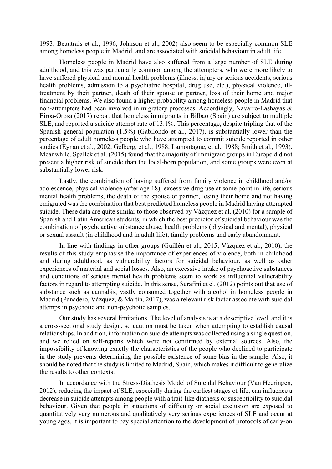1993; Beautrais et al., 1996; Johnson et al., 2002) also seem to be especially common SLE among homeless people in Madrid, and are associated with suicidal behaviour in adult life.

Homeless people in Madrid have also suffered from a large number of SLE during adulthood, and this was particularly common among the attempters, who were more likely to have suffered physical and mental health problems (illness, injury or serious accidents, serious health problems, admission to a psychiatric hospital, drug use, etc.), physical violence, illtreatment by their partner, death of their spouse or partner, loss of their home and major financial problems. We also found a higher probability among homeless people in Madrid that non-attempters had been involved in migratory processes. Accordingly, Navarro-Lashayas & Eiroa-Orosa (2017) report that homeless immigrants in Bilbao (Spain) are subject to multiple SLE, and reported a suicide attempt rate of 13.1%. This percentage, despite tripling that of the Spanish general population (1.5%) (Gabilondo et al., 2017), is substantially lower than the percentage of adult homeless people who have attempted to commit suicide reported in other studies (Eynan et al., 2002; Gelberg, et al., 1988; Lamontagne, et al., 1988; Smith et al., 1993). Meanwhile, Spallek et al. (2015) found that the majority of immigrant groups in Europe did not present a higher risk of suicide than the local-born population, and some groups were even at substantially lower risk.

Lastly, the combination of having suffered from family violence in childhood and/or adolescence, physical violence (after age 18), excessive drug use at some point in life, serious mental health problems, the death of the spouse or partner, losing their home and not having emigrated was the combination that best predicted homeless people in Madrid having attempted suicide. These data are quite similar to those observed by Vázquez et al. (2010) for a sample of Spanish and Latin American students, in which the best predictor of suicidal behaviour was the combination of psychoactive substance abuse, health problems (physical and mental), physical or sexual assault (in childhood and in adult life), family problems and early abandonment.

In line with findings in other groups (Guillén et al., 2015; Vázquez et al., 2010), the results of this study emphasise the importance of experiences of violence, both in childhood and during adulthood, as vulnerability factors for suicidal behaviour, as well as other experiences of material and social losses. Also, an excessive intake of psychoactive substances and conditions of serious mental health problems seem to work as influential vulnerability factors in regard to attempting suicide. In this sense, Serafini et el. (2012) points out that use of substance such as cannabis, vastly consumed together with alcohol in homeless people in Madrid (Panadero, Vázquez, & Martín, 2017), was a relevant risk factor associate with suicidal attemps in psychotic and non-psychotic samples.

Our study has several limitations. The level of analysis is at a descriptive level, and it is a cross-sectional study design, so caution must be taken when attempting to establish causal relationships. In addition, information on suicide attempts was collected using a single question, and we relied on self-reports which were not confirmed by external sources. Also, the impossibility of knowing exactly the characteristics of the people who declined to participate in the study prevents determining the possible existence of some bias in the sample. Also, it should be noted that the study is limited to Madrid, Spain, which makes it difficult to generalize the results to other contexts.

In accordance with the Stress-Diathesis Model of Suicidal Behaviour (Van Heeringen, 2012), reducing the impact of SLE, especially during the earliest stages of life, can influence a decrease in suicide attempts among people with a trait-like diathesis or susceptibility to suicidal behaviour. Given that people in situations of difficulty or social exclusion are exposed to quantitatively very numerous and qualitatively very serious experiences of SLE and occur at young ages, it is important to pay special attention to the development of protocols of early-on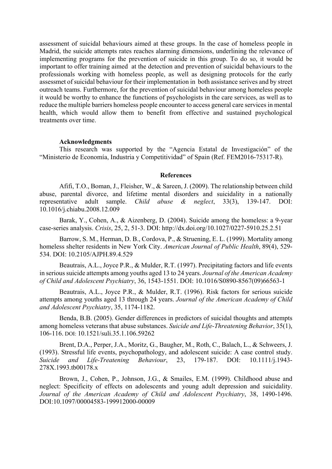assessment of suicidal behaviours aimed at these groups. In the case of homeless people in Madrid, the suicide attempts rates reaches alarming dimensions, underlining the relevance of implementing programs for the prevention of suicide in this group. To do so, it would be important to offer training aimed at the detection and prevention of suicidal behaviours to the professionals working with homeless people, as well as designing protocols for the early assessmet of suicidal behaviour for their implementation in both assistance serives and by street outreach teams. Furthermore, for the prevention of suicidal behaviour among homeless people it would be worthy to enhance the functions of psychologists in the care services, as well as to reduce the multiple barriers homeless people encounter to access general care services in mental health, which would allow them to benefit from effective and sustained psychological treatments over time.

#### **Acknowledgments**

This research was supported by the "Agencia Estatal de Investigación" of the "Ministerio de Economía, Industria y Competitividad" of Spain (Ref. FEM2016-75317-R).

### **References**

Afifi, T.O., Boman, J., Fleisher, W., & Sareen, J. (2009). The relationship between child abuse, parental divorce, and lifetime mental disorders and suicidality in a nationally representative adult sample. *Child abuse & neglect*, 33(3), 139-147. DOI: 10.1016/j.chiabu.2008.12.009

Barak, Y., Cohen, A., & Aizenberg, D. (2004). Suicide among the homeless: a 9-year case-series analysis. *Crisis*, 25, 2, 51-3. DOI: http://dx.doi.org/10.1027/0227-5910.25.2.51

Barrow, S. M., Herman, D. B., Cordova, P., & Struening, E. L. (1999). Mortality among homeless shelter residents in New York City. *American Journal of Public Health*, 89(4), 529- 534. DOI: 10.2105/AJPH.89.4.529

Beautrais, A.L., Joyce P.R., & Mulder, R.T. (1997). Precipitating factors and life events in serious suicide attempts among youths aged 13 to 24 years. *Journal of the American Academy of Child and Adolescent Psychiatry*, 36, 1543-1551. DOI: 10.1016/S0890-8567(09)66563-1

Beautrais, A.L., Joyce P.R., & Mulder, R.T. (1996). Risk factors for serious suicide attempts among youths aged 13 through 24 years. *Journal of the American Academy of Child and Adolescent Psychiatry*, 35, 1174-1182.

Benda, B.B. (2005). Gender differences in predictors of suicidal thoughts and attempts among homeless veterans that abuse substances. *Suicide and Life-Threatening Behavior*, 35(1), 106-116. DOI: 10.1521/suli.35.1.106.59262

Brent, D.A., Perper, J.A., Moritz, G., Baugher, M., Roth, C., Balach, L., & Schweers, J. (1993). Stressful life events, psychopathology, and adolescent suicide: A case control study. *Suicide and Life-Treatening Behaviour*, 23, 179-187. DOI: 10.1111/j.1943- 278X.1993.tb00178.x

Brown, J., Cohen, P., Johnson, J.G., & Smailes, E.M. (1999). Childhood abuse and neglect: Specificity of effects on adolescents and young adult depression and suicidality. *Journal of the American Academy of Child and Adolescent Psychiatry*, 38, 1490-1496. DOI:10.1097/00004583-199912000-00009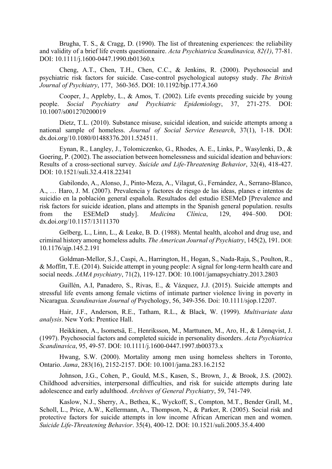Brugha, T. S., & Cragg, D. (1990). The list of threatening experiences: the reliability and validity of a brief life events questionnaire. *Acta Psychiatrica Scandinavica, 82(1)*, 77-81. DOI: 10.1111/j.1600-0447.1990.tb01360.x

Cheng, A.T., Chen, T.H., Chen, C.C., & Jenkins, R. (2000). Psychosocial and psychiatric risk factors for suicide. Case-control psychological autopsy study. *The British Journal of Psychiatry*, 177, 360-365. DOI: 10.1192/bjp.177.4.360

Cooper, J., Appleby, L., & Amos, T. (2002). Life events preceding suicide by young people. *Social Psychiatry and Psychiatric Epidemiology*, 37, 271-275. DOI: 10.1007/s001270200019

Dietz, T.L. (2010). Substance misuse, suicidal ideation, and suicide attempts among a national sample of homeless. *Journal of Social Service Research*, 37(1), 1-18. DOI: dx.doi.org/10.1080/01488376.2011.524511.

Eynan, R., Langley, J., Tolomiczenko, G., Rhodes, A. E., Links, P., Wasylenki, D., & Goering, P. (2002). The association between homelessness and suicidal ideation and behaviors: Results of a cross‐sectional survey. *Suicide and Life-Threatening Behavior*, 32(4), 418-427. DOI: 10.1521/suli.32.4.418.22341

Gabilondo, A., Alonso, J., Pinto-Meza, A., Vilagut, G., Fernández, A., Serrano-Blanco, A., … Haro, J. M. (2007). Prevalencia y factores de riesgo de las ideas, planes e intentos de suicidio en la población general española. Resultados del estudio ESEMeD [Prevalence and risk factors for suicide ideation, plans and attempts in the Spanish general population. results from the ESEMeD study]. *Medicina Clínica*, 129, 494–500. DOI: dx.doi.org/10.1157/13111370

Gelberg, L., Linn, L., & Leake, B. D. (1988). Mental health, alcohol and drug use, and criminal history among homeless adults. *The American Journal of Psychiatry*, 145(2), 191. DOI: 10.1176/ajp.145.2.191

Goldman-Mellor, S.J., Caspi, A., Harrington, H., Hogan, S., Nada-Raja, S., Poulton, R., & Moffitt, T.E. (2014). Suicide attempt in young people: A signal for long-term health care and social needs. *JAMA psychiatry*, 71(2), 119-127. DOI: 10.1001/jamapsychiatry.2013.2803

Guillén, A.I, Panadero, S., Rivas, E., & Vázquez, J.J. (2015). Suicide attempts and stressful life events among female victims of intimate partner violence living in poverty in Nicaragua. *Scandinavian Journal of* Psychology, 56, 349-356. Doi: 10.1111/sjop.12207.

Hair, J.F., Anderson, R.E., Tatham, R.L., & Black, W. (1999). *Multivariate data analysis*. New York: Prentice Hall.

Heikkinen, A., Isometsä, E., Henriksson, M., Marttunen, M., Aro, H., & Lönnqvist, J. (1997). Psychosocial factors and completed suicide in personality disorders. *Acta Psychiatrica Scandinavica*, 95, 49-57. DOI: 10.1111/j.1600-0447.1997.tb00373.x

Hwang, S.W. (2000). Mortality among men using homeless shelters in Toronto, Ontario. *Jama*, 283(16), 2152-2157. DOI: 10.1001/jama.283.16.2152

Johnson, J.G., Cohen, P., Gould, M.S., Kasen, S., Brown, J., & Brook, J.S. (2002). Childhood adversities, interpersonal difficulties, and risk for suicide attempts during late adolescence and early adulthood. *Archives of General Psychiatry*, 59, 741-749.

Kaslow, N.J., Sherry, A., Bethea, K., Wyckoff, S., Compton, M.T., Bender Grall, M., Scholl, L., Price, A.W., Kellermann, A., Thompson, N., & Parker, R. (2005). Social risk and protective factors for suicide attempts in low income African American men and women. *Suicide Life-Threatening Behavior*. 35(4), 400-12. DOI: 10.1521/suli.2005.35.4.400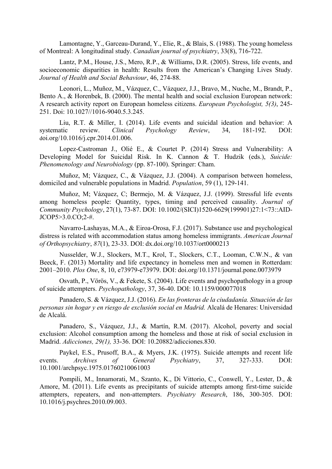Lamontagne, Y., Garceau-Durand, Y., Elie, R., & Blais, S. (1988). The young homeless of Montreal: A longitudinal study. *Canadian journal of psychiatry*, 33(8), 716-722.

Lantz, P.M., House, J.S., Mero, R.P., & Williams, D.R. (2005). Stress, life events, and socioeconomic disparities in health: Results from the American's Changing Lives Study. *Journal of Health and Social Behaviour*, 46, 274-88.

Leonori, L., Muñoz, M., Vázquez, C., Vázquez, J.J., Bravo, M., Nuche, M., Brandt, P., Bento A., & Horenbek, B. (2000). The mental health and social exclusion European network: A research activity report on European homeless citizens. *European Psychologist, 5(3)*, 245- 251. Doi: 10.1027//1016-9040.5.3.245.

Liu, R.T. & Miller, I. (2014). Life events and suicidal ideation and behavior: A systematic review. *Clinical Psychology Review*, 34, 181-192. DOI: doi.org/10.1016/j.cpr.2014.01.006.

Lopez-Castroman J., Olié E., & Courtet P. (2014) Stress and Vulnerability: A Developing Model for Suicidal Risk. In K. Cannon & T. Hudzik (eds.), *Suicide: Phenomenology and Neurobiology* (pp. 87-100). Springer: Cham.

Muñoz, M; Vázquez, C., & Vázquez, J.J. (2004). A comparison between homeless, domiciled and vulnerable populations in Madrid. *Population*, 59 (1), 129-141.

Muñoz, M; Vázquez, C; Bermejo, M. & Vázquez, J.J. (1999). Stressful life events among homeless people: Quantity, types, timing and perceived causality. *Journal of Community Psychology*, 27(1), 73-87. DOI: 10.1002/(SICI)1520-6629(199901)27:1<73::AID-JCOP5>3.0.CO;2-#.

Navarro-Lashayas, M.A., & Eiroa-Orosa, F.J. (2017). Substance use and psychological distress is related with accommodation status among homeless immigrants. *American Journal of Orthopsychiatry*, *87*(1), 23-33. DOI: dx.doi.org/10.1037/ort0000213

Nusselder, W.J., Slockers, M.T., Krol, T., Slockers, C.T., Looman, C.W.N., & van Beeck, F. (2013) Mortality and life expectancy in homeless men and women in Rotterdam: 2001–2010. *Plos One*, 8, 10, e73979-e73979. DOI: doi.org/10.1371/journal.pone.0073979

Osvath, P., Vörös, V., & Fekete, S. (2004). Life events and psychopathology in a group of suicide attempters. *Psychopathology*, 37, 36-40. DOI: 10.1159/000077018

Panadero, S. & Vázquez, J.J. (2016). *En las fronteras de la ciudadanía. Situación de las personas sin hogar y en riesgo de exclusión social en Madrid.* Alcalá de Henares: Universidad de Alcalá.

Panadero, S., Vázquez, J.J., & Martín, R.M. (2017). Alcohol, poverty and social exclusion: Alcohol consumption among the homeless and those at risk of social exclusion in Madrid. *Adicciones, 29(1),* 33-36. DOI: 10.20882/adicciones.830.

Paykel, E.S., Prusoff, B.A., & Myers, J.K. (1975). Suicide attempts and recent life events. *Archives of General Psychiatry*, 37, 327-333. DOI: 10.1001/archpsyc.1975.01760210061003

Pompili, M., Innamorati, M., Szanto, K., Di Vittorio, C., Conwell, Y., Lester, D., & Amore, M. (2011). Life events as precipitants of suicide attempts among first-time suicide attempters, repeaters, and non-attempters. *Psychiatry Research*, 186, 300-305. DOI: 10.1016/j.psychres.2010.09.003.